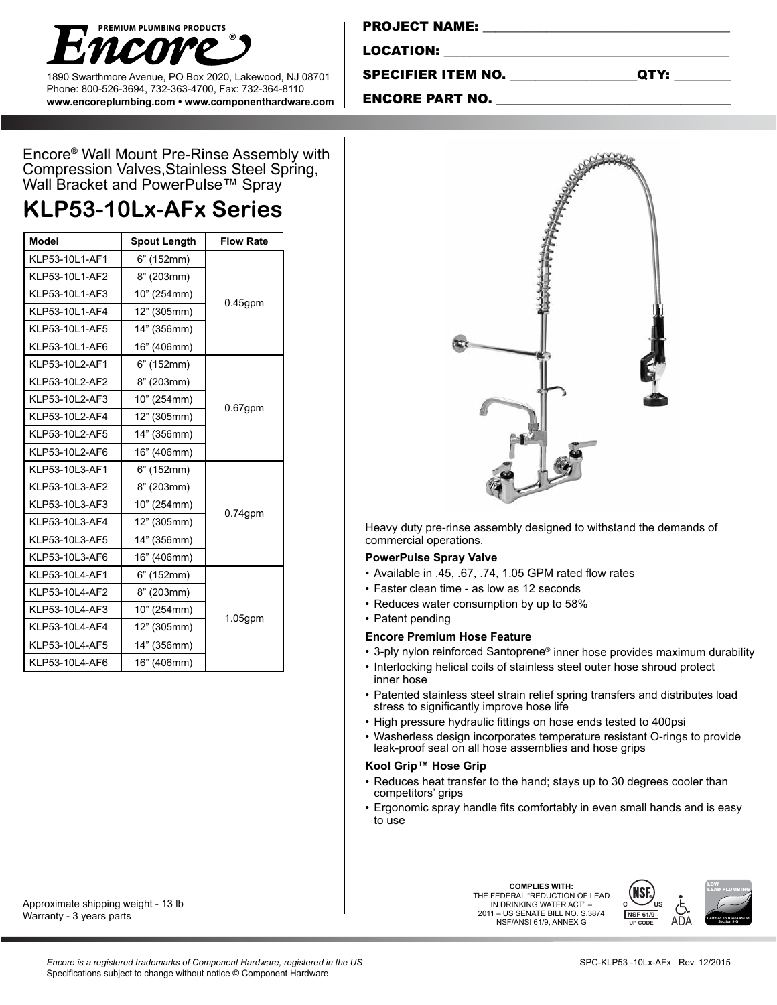

1890 Swarthmore Avenue, PO Box 2020, Lakewood, NJ 08701 Phone: 800-526-3694, 732-363-4700, Fax: 732-364-8110 **www.encoreplumbing.com • www.componenthardware.com**

| <b>PROJECT NAME:</b>      |      |
|---------------------------|------|
| LOCATION:                 |      |
| <b>SPECIFIER ITEM NO.</b> | QTY: |

### ENCORE PART NO.

Encore® Wall Mount Pre-Rinse Assembly with Compression Valves,Stainless Steel Spring, Wall Bracket and PowerPulse™ Spray

## **KLP53-10Lx-AFx Series**

| <b>Model</b>   | <b>Spout Length</b> |            |  |
|----------------|---------------------|------------|--|
| KLP53-10L1-AF1 | $6"$ (152mm)        |            |  |
| KLP53-10L1-AF2 | 8" (203mm)          |            |  |
| KLP53-10L1-AF3 | 10" (254mm)         | $0.45$ gpm |  |
| KLP53-10L1-AF4 | 12" (305mm)         |            |  |
| KLP53-10L1-AF5 | 14" (356mm)         |            |  |
| KLP53-10L1-AF6 | 16" (406mm)         |            |  |
| KLP53-10L2-AF1 | 6" (152mm)          |            |  |
| KLP53-10L2-AF2 | 8" (203mm)          | $0.67$ gpm |  |
| KLP53-10L2-AF3 | 10" (254mm)         |            |  |
| KLP53-10L2-AF4 | 12" (305mm)         |            |  |
| KLP53-10L2-AF5 | 14" (356mm)         |            |  |
| KLP53-10L2-AF6 | 16" (406mm)         |            |  |
| KLP53-10L3-AF1 | 6" (152mm)          |            |  |
| KLP53-10L3-AF2 | 8" (203mm)          |            |  |
| KLP53-10L3-AF3 | 10" (254mm)         | $0.74$ gpm |  |
| KLP53-10L3-AF4 | 12" (305mm)         |            |  |
| KLP53-10L3-AF5 | 14" (356mm)         |            |  |
| KLP53-10L3-AF6 | 16" (406mm)         |            |  |
| KLP53-10L4-AF1 | $6"$ (152mm)        |            |  |
| KLP53-10L4-AF2 | 8" (203mm)          |            |  |
| KLP53-10L4-AF3 | 10" (254mm)         | $1.05$ gpm |  |
| KLP53-10L4-AF4 | 12" (305mm)         |            |  |
| KLP53-10L4-AF5 | 14" (356mm)         |            |  |
| KLP53-10L4-AF6 | 16" (406mm)         |            |  |

Approximate shipping weight - 13 lb Warranty - 3 years parts



Heavy duty pre-rinse assembly designed to withstand the demands of commercial operations.

#### **PowerPulse Spray Valve**

- • Available in .45, .67, .74, 1.05 GPM rated flow rates
- Faster clean time as low as 12 seconds
- Reduces water consumption by up to 58%
- Patent pending

#### **Encore Premium Hose Feature**

- 3-ply nylon reinforced Santoprene® inner hose provides maximum durability
- Interlocking helical coils of stainless steel outer hose shroud protect inner hose
- • Patented stainless steel strain relief spring transfers and distributes load stress to significantly improve hose life
- • High pressure hydraulic fittings on hose ends tested to 400psi
- • Washerless design incorporates temperature resistant O-rings to provide leak-proof seal on all hose assemblies and hose grips

#### **Kool Grip™ Hose Grip**

- Reduces heat transfer to the hand; stays up to 30 degrees cooler than competitors' grips
- Ergonomic spray handle fits comfortably in even small hands and is easy to use

**COMPLIES WITH:** COMPLIES WITH: **AND FEDERAL** "REDUCTION OF LEAD **(NSF)** IN DRINKING WATER ACT" – 2011 – US SENATE BILL NO. S.3874 NSF/ANSI 61/9, ANNEX G